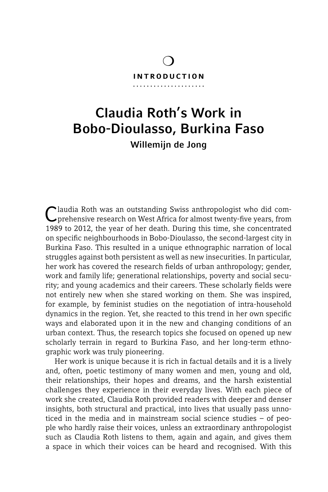#### introduction

 $\overline{O}$ 

# Claudia Roth's Work in Bobo-Dioulasso, Burkina Faso Willemijn de Jong

Claudia Roth was an outstanding Swiss anthropologist who did comprehensive research on West Africa for almost twenty-five years, from 1989 to 2012, the year of her death. During this time, she concentrated on specific neighbourhoods in Bobo-Dioulasso, the second-largest city in Burkina Faso. This resulted in a unique ethnographic narration of local struggles against both persistent as well as new insecurities. In particular, her work has covered the research fields of urban anthropology; gender, work and family life; generational relationships, poverty and social security; and young academics and their careers. These scholarly fields were not entirely new when she stared working on them. She was inspired, for example, by feminist studies on the negotiation of intra-household dynamics in the region. Yet, she reacted to this trend in her own specific ways and elaborated upon it in the new and changing conditions of an urban context. Thus, the research topics she focused on opened up new scholarly terrain in regard to Burkina Faso, and her long-term ethnographic work was truly pioneering.

Her work is unique because it is rich in factual details and it is a lively and, often, poetic testimony of many women and men, young and old, their relationships, their hopes and dreams, and the harsh existential challenges they experience in their everyday lives. With each piece of work she created, Claudia Roth provided readers with deeper and denser insights, both structural and practical, into lives that usually pass unnoticed in the media and in mainstream social science studies – of people who hardly raise their voices, unless an extraordinary anthropologist such as Claudia Roth listens to them, again and again, and gives them a space in which their voices can be heard and recognised. With this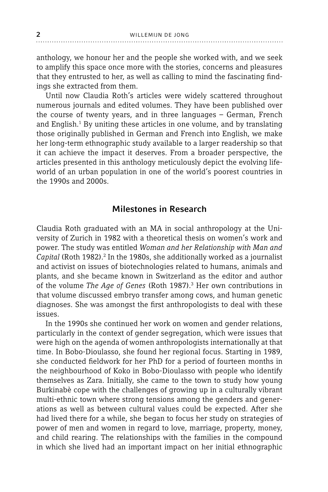anthology, we honour her and the people she worked with, and we seek to amplify this space once more with the stories, concerns and pleasures that they entrusted to her, as well as calling to mind the fascinating findings she extracted from them.

Until now Claudia Roth's articles were widely scattered throughout numerous journals and edited volumes. They have been published over the course of twenty years, and in three languages – German, French and English.<sup>1</sup> By uniting these articles in one volume, and by translating those originally published in German and French into English, we make her long-term ethnographic study available to a larger readership so that it can achieve the impact it deserves. From a broader perspective, the articles presented in this anthology meticulously depict the evolving lifeworld of an urban population in one of the world's poorest countries in the 1990s and 2000s.

## Milestones in Research

Claudia Roth graduated with an MA in social anthropology at the University of Zurich in 1982 with a theoretical thesis on women's work and power. The study was entitled *Woman and her Relationship with Man and*  Capital (Roth 1982).<sup>2</sup> In the 1980s, she additionally worked as a journalist and activist on issues of biotechnologies related to humans, animals and plants, and she became known in Switzerland as the editor and author of the volume *The Age of Genes* (Roth 1987).3 Her own contributions in that volume discussed embryo transfer among cows, and human genetic diagnoses. She was amongst the first anthropologists to deal with these issues.

In the 1990s she continued her work on women and gender relations, particularly in the context of gender segregation, which were issues that were high on the agenda of women anthropologists internationally at that time. In Bobo-Dioulasso, she found her regional focus. Starting in 1989, she conducted fieldwork for her PhD for a period of fourteen months in the neighbourhood of Koko in Bobo-Dioulasso with people who identify themselves as Zara. Initially, she came to the town to study how young Burkinabè cope with the challenges of growing up in a culturally vibrant multi-ethnic town where strong tensions among the genders and generations as well as between cultural values could be expected. After she had lived there for a while, she began to focus her study on strategies of power of men and women in regard to love, marriage, property, money, and child rearing. The relationships with the families in the compound in which she lived had an important impact on her initial ethnographic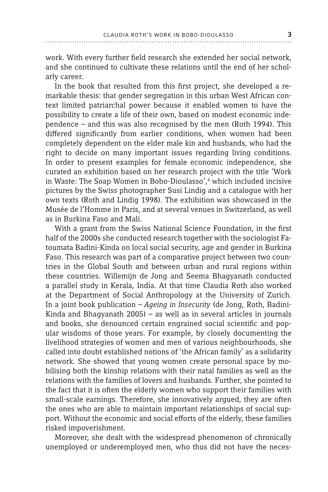work. With every further field research she extended her social network, and she continued to cultivate these relations until the end of her scholarly career.

In the book that resulted from this first project, she developed a remarkable thesis: that gender segregation in this urban West African context limited patriarchal power because it enabled women to have the possibility to create a life of their own, based on modest economic independence – and this was also recognised by the men (Roth 1994). This differed significantly from earlier conditions, when women had been completely dependent on the elder male kin and husbands, who had the right to decide on many important issues regarding living conditions. In order to present examples for female economic independence, she curated an exhibition based on her research project with the title 'Work in Waste: The Soap Women in Bobo-Dioulasso',4 which included incisive pictures by the Swiss photographer Susi Lindig and a catalogue with her own texts (Roth and Lindig 1998). The exhibition was showcased in the Musée de l'Homme in Paris, and at several venues in Switzerland, as well as in Burkina Faso and Mali.

With a grant from the Swiss National Science Foundation, in the first half of the 2000s she conducted research together with the sociologist Fatoumata Badini-Kinda on local social security, age and gender in Burkina Faso. This research was part of a comparative project between two countries in the Global South and between urban and rural regions within these countries. Willemijn de Jong and Seema Bhagyanath conducted a parallel study in Kerala, India. At that time Claudia Roth also worked at the Department of Social Anthropology at the University of Zurich. In a joint book publication – *Ageing in Insecurity* (de Jong, Roth, Badini-Kinda and Bhagyanath 2005) – as well as in several articles in journals and books, she denounced certain engrained social scientific and popular wisdoms of those years. For example, by closely documenting the livelihood strategies of women and men of various neighbourhoods, she called into doubt established notions of 'the African family' as a solidarity network. She showed that young women create personal space by mobilising both the kinship relations with their natal families as well as the relations with the families of lovers and husbands. Further, she pointed to the fact that it is often the elderly women who support their families with small-scale earnings. Therefore, she innovatively argued, they are often the ones who are able to maintain important relationships of social support. Without the economic and social efforts of the elderly, these families risked impoverishment.

Moreover, she dealt with the widespread phenomenon of chronically unemployed or underemployed men, who thus did not have the neces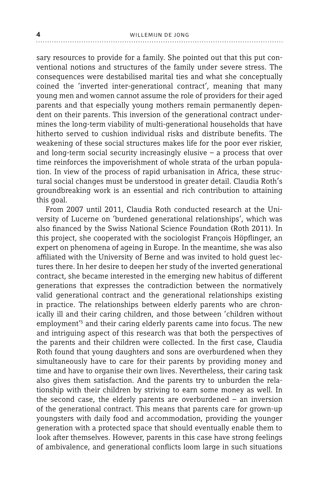sary resources to provide for a family. She pointed out that this put conventional notions and structures of the family under severe stress. The consequences were destabilised marital ties and what she conceptually coined the 'inverted inter-generational contract', meaning that many young men and women cannot assume the role of providers for their aged parents and that especially young mothers remain permanently dependent on their parents. This inversion of the generational contract undermines the long-term viability of multi-generational households that have hitherto served to cushion individual risks and distribute benefits. The weakening of these social structures makes life for the poor ever riskier, and long-term social security increasingly elusive – a process that over time reinforces the impoverishment of whole strata of the urban population. In view of the process of rapid urbanisation in Africa, these structural social changes must be understood in greater detail. Claudia Roth's groundbreaking work is an essential and rich contribution to attaining this goal.

From 2007 until 2011, Claudia Roth conducted research at the University of Lucerne on 'burdened generational relationships', which was also financed by the Swiss National Science Foundation (Roth 2011). In this project, she cooperated with the sociologist François Höpflinger, an expert on phenomena of ageing in Europe. In the meantime, she was also affiliated with the University of Berne and was invited to hold quest lectures there. In her desire to deepen her study of the inverted generational contract, she became interested in the emerging new habitus of different generations that expresses the contradiction between the normatively valid generational contract and the generational relationships existing in practice. The relationships between elderly parents who are chronically ill and their caring children, and those between 'children without employment'<sup>5</sup> and their caring elderly parents came into focus. The new and intriguing aspect of this research was that both the perspectives of the parents and their children were collected. In the first case, Claudia Roth found that young daughters and sons are overburdened when they simultaneously have to care for their parents by providing money and time and have to organise their own lives. Nevertheless, their caring task also gives them satisfaction. And the parents try to unburden the relationship with their children by striving to earn some money as well. In the second case, the elderly parents are overburdened – an inversion of the generational contract. This means that parents care for grown-up youngsters with daily food and accommodation, providing the younger generation with a protected space that should eventually enable them to look after themselves. However, parents in this case have strong feelings of ambivalence, and generational conflicts loom large in such situations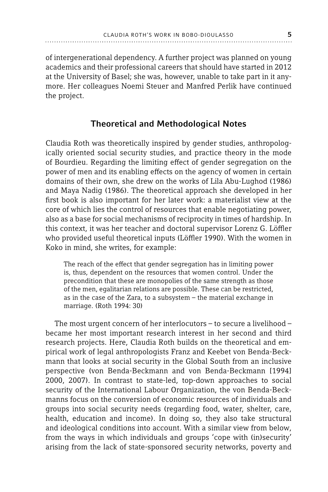of intergenerational dependency. A further project was planned on young academics and their professional careers that should have started in 2012 at the University of Basel; she was, however, unable to take part in it anymore. Her colleagues Noemi Steuer and Manfred Perlik have continued the project.

# Theoretical and Methodological Notes

Claudia Roth was theoretically inspired by gender studies, anthropologically oriented social security studies, and practice theory in the mode of Bourdieu. Regarding the limiting effect of gender segregation on the power of men and its enabling effects on the agency of women in certain domains of their own, she drew on the works of Lila Abu-Lughod (1986) and Maya Nadig (1986). The theoretical approach she developed in her first book is also important for her later work: a materialist view at the core of which lies the control of resources that enable negotiating power, also as a base for social mechanisms of reciprocity in times of hardship. In this context, it was her teacher and doctoral supervisor Lorenz G. Löffler who provided useful theoretical inputs (Löffler 1990). With the women in Koko in mind, she writes, for example:

The reach of the effect that gender segregation has in limiting power is, thus, dependent on the resources that women control. Under the precondition that these are monopolies of the same strength as those of the men, egalitarian relations are possible. These can be restricted, as in the case of the Zara, to a subsystem – the material exchange in marriage. (Roth 1994: 30)

The most urgent concern of her interlocutors – to secure a livelihood – became her most important research interest in her second and third research projects. Here, Claudia Roth builds on the theoretical and empirical work of legal anthropologists Franz and Keebet von Benda-Beckmann that looks at social security in the Global South from an inclusive perspective (von Benda-Beckmann and von Benda-Beckmann [1994] 2000, 2007). In contrast to state-led, top-down approaches to social security of the International Labour Organization, the von Benda-Beckmanns focus on the conversion of economic resources of individuals and groups into social security needs (regarding food, water, shelter, care, health, education and income). In doing so, they also take structural and ideological conditions into account. With a similar view from below, from the ways in which individuals and groups 'cope with (in)security' arising from the lack of state-sponsored security networks, poverty and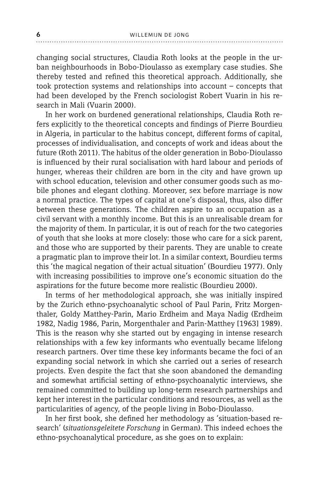changing social structures, Claudia Roth looks at the people in the urban neighbourhoods in Bobo-Dioulasso as exemplary case studies. She thereby tested and refined this theoretical approach. Additionally, she took protection systems and relationships into account – concepts that had been developed by the French sociologist Robert Vuarin in his research in Mali (Vuarin 2000).

In her work on burdened generational relationships, Claudia Roth refers explicitly to the theoretical concepts and findings of Pierre Bourdieu in Algeria, in particular to the habitus concept, different forms of capital, processes of individualisation, and concepts of work and ideas about the future (Roth 2011). The habitus of the older generation in Bobo-Dioulasso is influenced by their rural socialisation with hard labour and periods of hunger, whereas their children are born in the city and have grown up with school education, television and other consumer goods such as mobile phones and elegant clothing. Moreover, sex before marriage is now a normal practice. The types of capital at one's disposal, thus, also differ between these generations. The children aspire to an occupation as a civil servant with a monthly income. But this is an unrealisable dream for the majority of them. In particular, it is out of reach for the two categories of youth that she looks at more closely: those who care for a sick parent, and those who are supported by their parents. They are unable to create a pragmatic plan to improve their lot. In a similar context, Bourdieu terms this 'the magical negation of their actual situation' (Bourdieu 1977). Only with increasing possibilities to improve one's economic situation do the aspirations for the future become more realistic (Bourdieu 2000).

In terms of her methodological approach, she was initially inspired by the Zurich ethno-psychoanalytic school of Paul Parin, Fritz Morgenthaler, Goldy Matthey-Parin, Mario Erdheim and Maya Nadig (Erdheim 1982, Nadig 1986, Parin, Morgenthaler and Parin-Matthey [1963] 1989). This is the reason why she started out by engaging in intense research relationships with a few key informants who eventually became lifelong research partners. Over time these key informants became the foci of an expanding social network in which she carried out a series of research projects. Even despite the fact that she soon abandoned the demanding and somewhat artificial setting of ethno-psychoanalytic interviews, she remained committed to building up long-term research partnerships and kept her interest in the particular conditions and resources, as well as the particularities of agency, of the people living in Bobo-Dioulasso.

In her first book, she defined her methodology as 'situation-based research' (*situationsgeleitete Forschung* in German). This indeed echoes the ethno-psychoanalytical procedure, as she goes on to explain: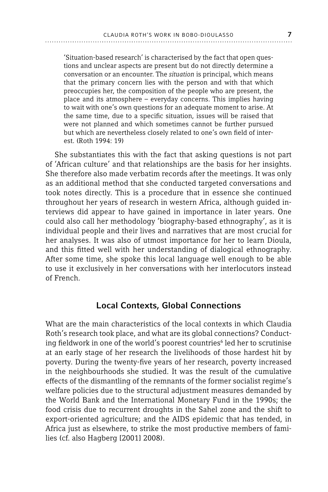'Situation-based research' is characterised by the fact that open questions and unclear aspects are present but do not directly determine a conversation or an encounter. The *situation* is principal, which means that the primary concern lies with the person and with that which preoccupies her, the composition of the people who are present, the place and its atmosphere – everyday concerns. This implies having to wait with one's own questions for an adequate moment to arise. At the same time, due to a specific situation, issues will be raised that were not planned and which sometimes cannot be further pursued but which are nevertheless closely related to one's own field of interest. (Roth 1994: 19)

She substantiates this with the fact that asking questions is not part of 'African culture' and that relationships are the basis for her insights. She therefore also made verbatim records after the meetings. It was only as an additional method that she conducted targeted conversations and took notes directly. This is a procedure that in essence she continued throughout her years of research in western Africa, although guided interviews did appear to have gained in importance in later years. One could also call her methodology 'biography-based ethnography', as it is individual people and their lives and narratives that are most crucial for her analyses. It was also of utmost importance for her to learn Dioula, and this fitted well with her understanding of dialogical ethnography. After some time, she spoke this local language well enough to be able to use it exclusively in her conversations with her interlocutors instead of French.

### Local Contexts, Global Connections

What are the main characteristics of the local contexts in which Claudia Roth's research took place, and what are its global connections? Conducting fieldwork in one of the world's poorest countries $^6$  led her to scrutinise at an early stage of her research the livelihoods of those hardest hit by poverty. During the twenty-five years of her research, poverty increased in the neighbourhoods she studied. It was the result of the cumulative effects of the dismantling of the remnants of the former socialist regime's welfare policies due to the structural adjustment measures demanded by the World Bank and the International Monetary Fund in the 1990s; the food crisis due to recurrent droughts in the Sahel zone and the shift to export-oriented agriculture; and the AIDS epidemic that has tended, in Africa just as elsewhere, to strike the most productive members of families (cf. also Hagberg [2001] 2008).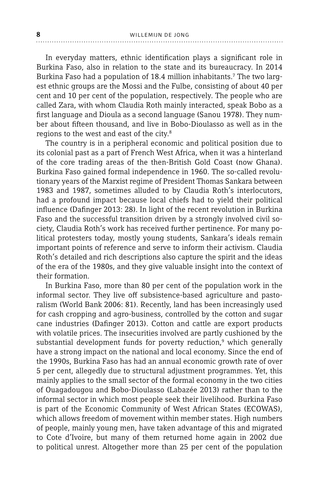In everyday matters, ethnic identification plays a significant role in Burkina Faso, also in relation to the state and its bureaucracy. In 2014 Burkina Faso had a population of 18.4 million inhabitants.<sup>7</sup> The two largest ethnic groups are the Mossi and the Fulbe, consisting of about 40 per cent and 10 per cent of the population, respectively. The people who are called Zara, with whom Claudia Roth mainly interacted, speak Bobo as a first language and Dioula as a second language (Sanou 1978). They number about fifteen thousand, and live in Bobo-Dioulasso as well as in the regions to the west and east of the city.<sup>8</sup>

The country is in a peripheral economic and political position due to its colonial past as a part of French West Africa, when it was a hinterland of the core trading areas of the then-British Gold Coast (now Ghana). Burkina Faso gained formal independence in 1960. The so-called revolutionary years of the Marxist regime of President Thomas Sankara between 1983 and 1987, sometimes alluded to by Claudia Roth's interlocutors, had a profound impact because local chiefs had to yield their political influence (Dafinger 2013: 28). In light of the recent revolution in Burkina Faso and the successful transition driven by a strongly involved civil society, Claudia Roth's work has received further pertinence. For many political protesters today, mostly young students, Sankara's ideals remain important points of reference and serve to inform their activism. Claudia Roth's detailed and rich descriptions also capture the spirit and the ideas of the era of the 1980s, and they give valuable insight into the context of their formation.

In Burkina Faso, more than 80 per cent of the population work in the informal sector. They live off subsistence-based agriculture and pastoralism (World Bank 2006: 81). Recently, land has been increasingly used for cash cropping and agro-business, controlled by the cotton and sugar cane industries (Dafinger 2013). Cotton and cattle are export products with volatile prices. The insecurities involved are partly cushioned by the substantial development funds for poverty reduction,<sup>9</sup> which generally have a strong impact on the national and local economy. Since the end of the 1990s, Burkina Faso has had an annual economic growth rate of over 5 per cent, allegedly due to structural adjustment programmes. Yet, this mainly applies to the small sector of the formal economy in the two cities of Ouagadougou and Bobo-Dioulasso (Labazée 2013) rather than to the informal sector in which most people seek their livelihood. Burkina Faso is part of the Economic Community of West African States (ECOWAS), which allows freedom of movement within member states. High numbers of people, mainly young men, have taken advantage of this and migrated to Cote d'Ivoire, but many of them returned home again in 2002 due to political unrest. Altogether more than 25 per cent of the population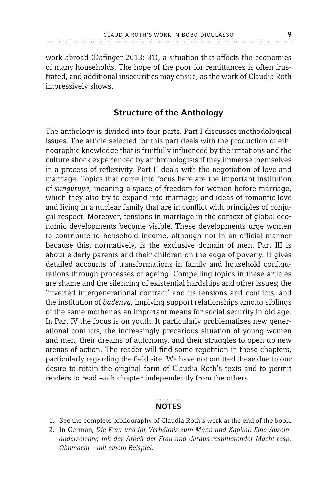work abroad (Dafinger 2013: 31), a situation that affects the economies of many households. The hope of the poor for remittances is often frustrated, and additional insecurities may ensue, as the work of Claudia Roth impressively shows.

# Structure of the Anthology

The anthology is divided into four parts. Part I discusses methodological issues. The article selected for this part deals with the production of ethnographic knowledge that is fruitfully influenced by the irritations and the culture shock experienced by anthropologists if they immerse themselves in a process of reflexivity. Part II deals with the negotiation of love and marriage. Topics that come into focus here are the important institution of *sunguruya,* meaning a space of freedom for women before marriage, which they also try to expand into marriage; and ideas of romantic love and living in a nuclear family that are in conflict with principles of conjugal respect. Moreover, tensions in marriage in the context of global economic developments become visible. These developments urge women to contribute to household income, although not in an official manner because this, normatively, is the exclusive domain of men. Part III is about elderly parents and their children on the edge of poverty. It gives detailed accounts of transformations in family and household configurations through processes of ageing. Compelling topics in these articles are shame and the silencing of existential hardships and other issues; the 'inverted intergenerational contract' and its tensions and conflicts; and the institution of *badenya,* implying support relationships among siblings of the same mother as an important means for social security in old age. In Part IV the focus is on youth. It particularly problematises new generational conflicts, the increasingly precarious situation of young women and men, their dreams of autonomy, and their struggles to open up new arenas of action. The reader will find some repetition in these chapters, particularly regarding the field site. We have not omitted these due to our desire to retain the original form of Claudia Roth's texts and to permit readers to read each chapter independently from the others.

#### **NOTES**

- 1. See the complete bibliography of Claudia Roth's work at the end of the book.
- 2. In German, *Die Frau und ihr Verhältnis zum Mann und Kapital: Eine Auseinandersetzung mit der Arbeit der Frau und daraus resultierender Macht resp. Ohnmacht – mit einem Beispiel.*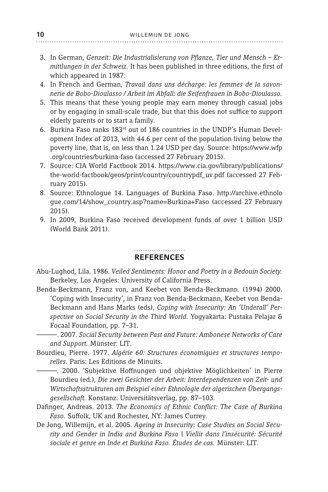- 3. In German, Genzeit: Die Industrialisierung von Pflanze, Tier und Mensch Er*mittlungen in der Schweiz.* It has been published in three editions, the first of which appeared in 1987.
- 4. In French and German, *Travail dans uns décharge: les femmes de la savonnerie de Bobo-Dioulasso / Arbeit im Abfall: die Seifenfrauen in Bobo-Dioulasso.*
- 5. This means that these young people may earn money through casual jobs or by engaging in small-scale trade, but that this does not suffice to support elderly parents or to start a family.
- 6. Burkina Faso ranks 183rd out of 186 countries in the UNDP's Human Development Index of 2013, with 44.6 per cent of the population living below the poverty line, that is, on less than 1.24 USD per day. Source: https://www.wfp .org/countries/burkina-faso (accessed 27 February 2015).
- 7. Source: CIA World Factbook 2014. https://www.cia.gov/library/publications/ the-world-factbook/geos/print/country/countrypdf\_uv.pdf (accessed 27 February 2015).
- 8. Source: Ethnologue 14. Languages of Burkina Faso. http://archive.ethnolo gue.com/14/show\_country.asp?name=Burkina+Faso (accessed 27 February 2015).
- 9. In 2009, Burkina Faso received development funds of over 1 billion USD (World Bank 2011).

#### **REFERENCES**

- Abu-Lughod, Lila. 1986. *Veiled Sentiments: Honor and Poetry in a Bedouin Society.* Berkeley, Los Angeles: University of California Press.
- Benda-Beckmann, Franz von, and Keebet von Benda-Beckmann. (1994) 2000. 'Coping with Insecurity', in Franz von Benda-Beckmann, Keebet von Benda-Beckmann and Hans Marks (eds), *Coping with Insecurity: An 'Underall' Perspective on Social Security in the Third World.* Yogyakarta: Pustaka Pelajar & Focaal Foundation, pp. 7–31.
	- ———. 2007. *Social Security between Past and Future: Ambonese Networks of Care and Support.* Münster: LIT.
- Bourdieu, Pierre. 1977. *Algérie 60: Structures économiques et structures temporelles.* Paris: Les Editions de Minuits.
- ———. 2000. 'Subjektive Hoff nungen und objektive Möglichkeiten' in Pierre Bourdieu (ed.), *Die zwei Gesichter der Arbeit: Interdependenzen von Zeit- und Wirtschaftsstrukturen am Beispiel einer Ethnologie der algerischen Übergangsgesellschaft.* Konstanz: Universitätsverlag, pp. 87–103.
- Dafinger, Andreas. 2013. *The Economics of Ethnic Conflict: The Case of Burkina* Faso. Suffolk, UK and Rochester, NY: James Currey.
- De Jong, Willemijn, et al. 2005. *Ageing in Insecurity: Case Studies on Social Security and Gender in India and Burkina Faso* | *Viellir dans l'insécurité: Sécurité sociale et genre en Inde et Burkina Faso. Études de cas.* Münster: LIT.